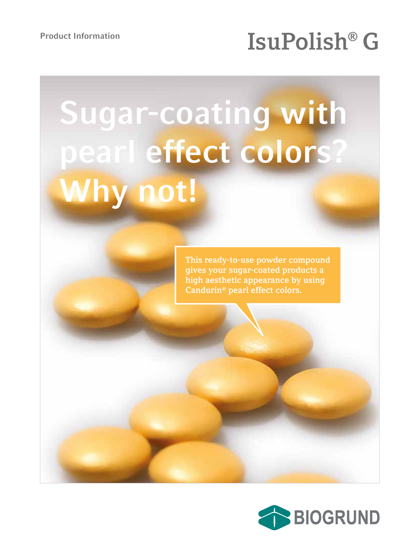# Product Information<br> **ISUPOlish<sup>®</sup> G**

# **Sugar-coating with pearl effect colors? Why not!**

**This ready-to-use powder compound gives your sugar-coated products a high aesthetic appearance by using Candurin® pearl effect colors.**